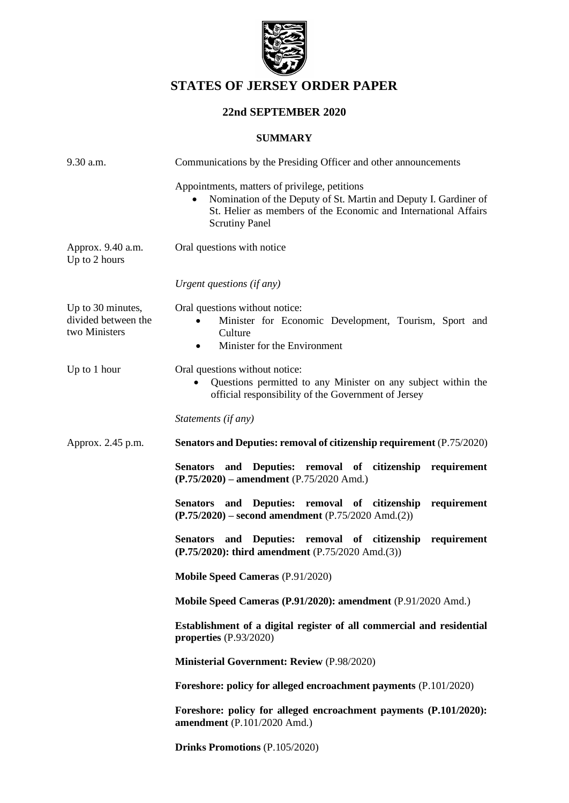

# **STATES OF JERSEY ORDER PAPER**

## **22nd SEPTEMBER 2020**

### **SUMMARY**

| 9.30 a.m.                                                 | Communications by the Presiding Officer and other announcements                                                                                                                                               |  |
|-----------------------------------------------------------|---------------------------------------------------------------------------------------------------------------------------------------------------------------------------------------------------------------|--|
|                                                           | Appointments, matters of privilege, petitions<br>Nomination of the Deputy of St. Martin and Deputy I. Gardiner of<br>St. Helier as members of the Economic and International Affairs<br><b>Scrutiny Panel</b> |  |
| Approx. 9.40 a.m.<br>Up to 2 hours                        | Oral questions with notice                                                                                                                                                                                    |  |
|                                                           | Urgent questions (if any)                                                                                                                                                                                     |  |
| Up to 30 minutes,<br>divided between the<br>two Ministers | Oral questions without notice:<br>Minister for Economic Development, Tourism, Sport and<br>Culture<br>Minister for the Environment<br>$\bullet$                                                               |  |
| Up to 1 hour                                              | Oral questions without notice:<br>Questions permitted to any Minister on any subject within the<br>official responsibility of the Government of Jersey                                                        |  |
|                                                           | Statements (if any)                                                                                                                                                                                           |  |
| Approx. 2.45 p.m.                                         | Senators and Deputies: removal of citizenship requirement (P.75/2020)                                                                                                                                         |  |
|                                                           | Senators and Deputies: removal of citizenship requirement<br>$(P.75/2020)$ – amendment $(P.75/2020$ Amd.)                                                                                                     |  |
|                                                           | Senators and Deputies: removal of citizenship<br>requirement<br>$(P.75/2020)$ – second amendment $(P.75/2020 \text{ Amd}.(2))$                                                                                |  |
|                                                           | Senators and Deputies: removal of citizenship<br>requirement<br>(P.75/2020): third amendment (P.75/2020 Amd.(3))                                                                                              |  |
|                                                           | <b>Mobile Speed Cameras (P.91/2020)</b>                                                                                                                                                                       |  |
|                                                           | Mobile Speed Cameras (P.91/2020): amendment (P.91/2020 Amd.)                                                                                                                                                  |  |
|                                                           | Establishment of a digital register of all commercial and residential<br>properties (P.93/2020)                                                                                                               |  |
|                                                           | <b>Ministerial Government: Review (P.98/2020)</b>                                                                                                                                                             |  |
|                                                           | Foreshore: policy for alleged encroachment payments (P.101/2020)                                                                                                                                              |  |
|                                                           | Foreshore: policy for alleged encroachment payments (P.101/2020):<br>amendment (P.101/2020 Amd.)                                                                                                              |  |
|                                                           | Drinks Promotions (P.105/2020)                                                                                                                                                                                |  |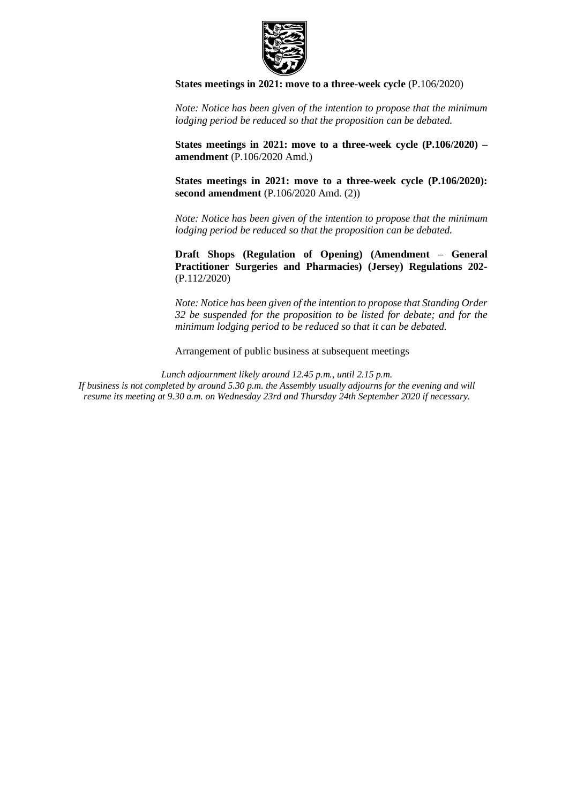

**[States meetings in 2021: move to a three-week cycle](https://statesassembly.gov.je/AssemblyPropositions/2020/P.106-2020.pdf)** (P.106/2020)

*Note: Notice has been given of the intention to propose that the minimum lodging period be reduced so that the proposition can be debated.*

**[States meetings in 2021: move to a three-week cycle \(P.106/2020\) –](https://statesassembly.gov.je/AssemblyPropositions/2020/P.106-2020Amd.pdf) amendment** [\(P.106/2020 Amd.\)](https://statesassembly.gov.je/AssemblyPropositions/2020/P.106-2020Amd.pdf) 

**[States meetings in 2021: move to a three-week cycle \(P.106/2020\):](https://statesassembly.gov.je/AssemblyPropositions/2020/P.106-2020Amd(2).pdf)  second amendment** [\(P.106/2020 Amd. \(2\)\)](https://statesassembly.gov.je/AssemblyPropositions/2020/P.106-2020Amd(2).pdf)

*Note: Notice has been given of the intention to propose that the minimum lodging period be reduced so that the proposition can be debated.*

**Draft Shops (Regulation of Opening) (Amendment – General Practitioner Surgeries and Pharmacies) (Jersey) Regulations 202-** (P.112/2020)

*Note: Notice has been given of the intention to propose that Standing Order 32 be suspended for the proposition to be listed for debate; and for the minimum lodging period to be reduced so that it can be debated.*

Arrangement of public business at subsequent meetings

*Lunch adjournment likely around 12.45 p.m., until 2.15 p.m. If business is not completed by around 5.30 p.m. the Assembly usually adjourns for the evening and will resume its meeting at 9.30 a.m. on Wednesday 23rd and Thursday 24th September 2020 if necessary.*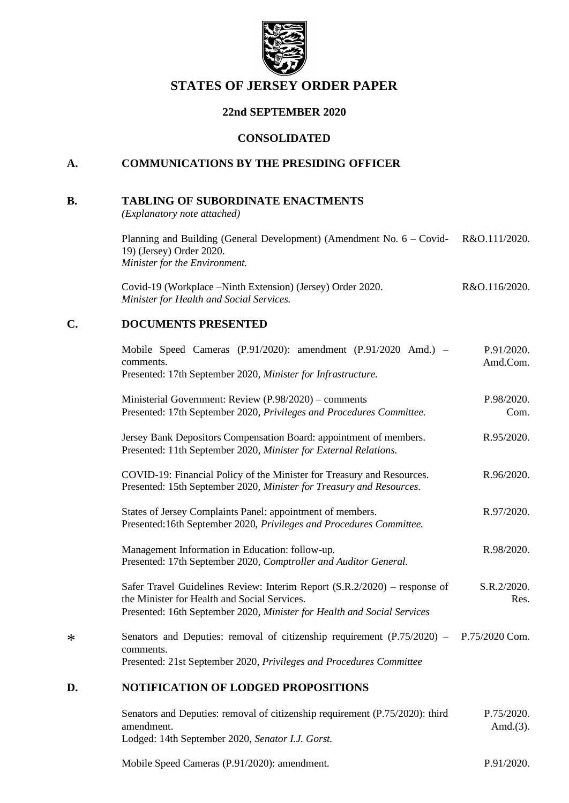

## **STATES OF JERSEY ORDER PAPER**

## **22nd SEPTEMBER 2020**

### **CONSOLIDATED**

## **A. COMMUNICATIONS BY THE PRESIDING OFFICER**

#### **B. TABLING OF SUBORDINATE ENACTMENTS**

*(Explanatory note attached)*

| Planning and Building (General Development) (Amendment No. $6 - \text{Covid}$ | R&O.111/2020. |
|-------------------------------------------------------------------------------|---------------|
| 19) (Jersey) Order 2020.                                                      |               |
| Minister for the Environment.                                                 |               |

[Covid-19 \(Workplace –Ninth Extension\) \(Jersey\) Order 2020.](https://www.jerseylaw.je/laws/enacted/Pages/RO-116-2020.aspx) *[Minister for Health and Social Services.](https://www.jerseylaw.je/laws/enacted/Pages/RO-116-2020.aspx)* [R&O.116/2020.](https://www.jerseylaw.je/laws/enacted/Pages/RO-116-2020.aspx)

## **C. DOCUMENTS PRESENTED**

| D.     | <b>NOTIFICATION OF LODGED PROPOSITIONS</b>                                                                                                                                                           |                        |
|--------|------------------------------------------------------------------------------------------------------------------------------------------------------------------------------------------------------|------------------------|
| $\ast$ | Senators and Deputies: removal of citizenship requirement $(P.75/2020) - P.75/2020$ Com.<br>comments.<br>Presented: 21st September 2020, Privileges and Procedures Committee                         |                        |
|        | Safer Travel Guidelines Review: Interim Report (S.R.2/2020) – response of<br>the Minister for Health and Social Services.<br>Presented: 16th September 2020, Minister for Health and Social Services | S.R.2/2020.<br>Res.    |
|        | Management Information in Education: follow-up.<br>Presented: 17th September 2020, Comptroller and Auditor General.                                                                                  | R.98/2020.             |
|        | States of Jersey Complaints Panel: appointment of members.<br>Presented:16th September 2020, Privileges and Procedures Committee.                                                                    | R.97/2020.             |
|        | COVID-19: Financial Policy of the Minister for Treasury and Resources.<br>Presented: 15th September 2020, Minister for Treasury and Resources.                                                       | R.96/2020.             |
|        | Jersey Bank Depositors Compensation Board: appointment of members.<br>Presented: 11th September 2020, Minister for External Relations.                                                               | R.95/2020.             |
|        | Ministerial Government: Review (P.98/2020) – comments<br>Presented: 17th September 2020, Privileges and Procedures Committee.                                                                        | P.98/2020.<br>Com.     |
|        | Mobile Speed Cameras (P.91/2020): amendment (P.91/2020 Amd.) -<br>comments.<br>Presented: 17th September 2020, Minister for Infrastructure.                                                          | P.91/2020.<br>Amd.Com. |

#### [Senators and Deputies: removal of citizenship requirement \(P.75/2020\): third](https://statesassembly.gov.je/AssemblyPropositions/2020/P.752020.Amd(3).pdf)  [amendment.](https://statesassembly.gov.je/AssemblyPropositions/2020/P.752020.Amd(3).pdf) [Lodged: 14th September 2020,](https://statesassembly.gov.je/AssemblyPropositions/2020/P.752020.Amd(3).pdf) *Senator I.J. Gorst.* [P.75/2020.](https://statesassembly.gov.je/AssemblyPropositions/2020/P.752020.Amd(3).pdf) [Amd.\(3\).](https://statesassembly.gov.je/AssemblyPropositions/2020/P.752020.Amd(3).pdf)

[Mobile Speed Cameras \(P.91/2020\): amendment.](https://statesassembly.gov.je/AssemblyPropositions/2020/P.91-2020Amd.pdf) [P.91/2020.](https://statesassembly.gov.je/AssemblyPropositions/2020/P.91-2020Amd.pdf)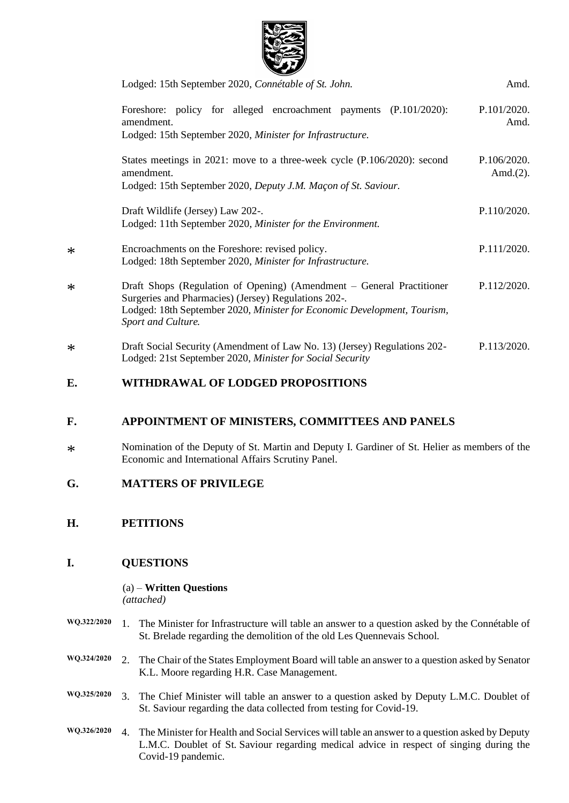

| Lodged: 15th September 2020, Connétable of St. John.                                                                                                                                                                            | Amd.                        |
|---------------------------------------------------------------------------------------------------------------------------------------------------------------------------------------------------------------------------------|-----------------------------|
| Foreshore: policy for alleged encroachment payments (P.101/2020):<br>amendment.<br>Lodged: 15th September 2020, Minister for Infrastructure.                                                                                    | P.101/2020.<br>Amd.         |
| States meetings in 2021: move to a three-week cycle (P.106/2020): second<br>amendment.<br>Lodged: 15th September 2020, Deputy J.M. Maçon of St. Saviour.                                                                        | P.106/2020.<br>Amd. $(2)$ . |
| Draft Wildlife (Jersey) Law 202-.<br>Lodged: 11th September 2020, Minister for the Environment.                                                                                                                                 | P.110/2020.                 |
| Encroachments on the Foreshore: revised policy.<br>Lodged: 18th September 2020, Minister for Infrastructure.                                                                                                                    | P.111/2020.                 |
| Draft Shops (Regulation of Opening) (Amendment – General Practitioner<br>Surgeries and Pharmacies) (Jersey) Regulations 202-.<br>Lodged: 18th September 2020, Minister for Economic Development, Tourism,<br>Sport and Culture. | P.112/2020.                 |
| Draft Social Security (Amendment of Law No. 13) (Jersey) Regulations 202-<br>Lodged: 21st September 2020, Minister for Social Security                                                                                          | P.113/2020.                 |

## **E. WITHDRAWAL OF LODGED PROPOSITIONS**

## **F. APPOINTMENT OF MINISTERS, COMMITTEES AND PANELS**

- \* Nomination of the Deputy of St. Martin and Deputy I. Gardiner of St. Helier as members of the Economic and International Affairs Scrutiny Panel.
- **G. MATTERS OF PRIVILEGE**
- **H. PETITIONS**

\*

\*

\*

## **I. QUESTIONS**

(a) – **Written Questions** *(attached)*

- **WQ.322/2020** 1. The Minister for Infrastructure will table an answer to a question asked by the Connétable of St. Brelade regarding the demolition of the old Les Quennevais School.
- **WQ.324/2020** 2. The Chair of the States Employment Board will table an answer to a question asked by Senator K.L. Moore regarding H.R. Case Management.
- **WQ.325/2020** 3. The Chief Minister will table an answer to a question asked by Deputy L.M.C. Doublet of St. Saviour regarding the data collected from testing for Covid-19.
- **WQ.326/2020** 4. The Minister for Health and Social Services will table an answer to a question asked by Deputy L.M.C. Doublet of St. Saviour regarding medical advice in respect of singing during the Covid-19 pandemic.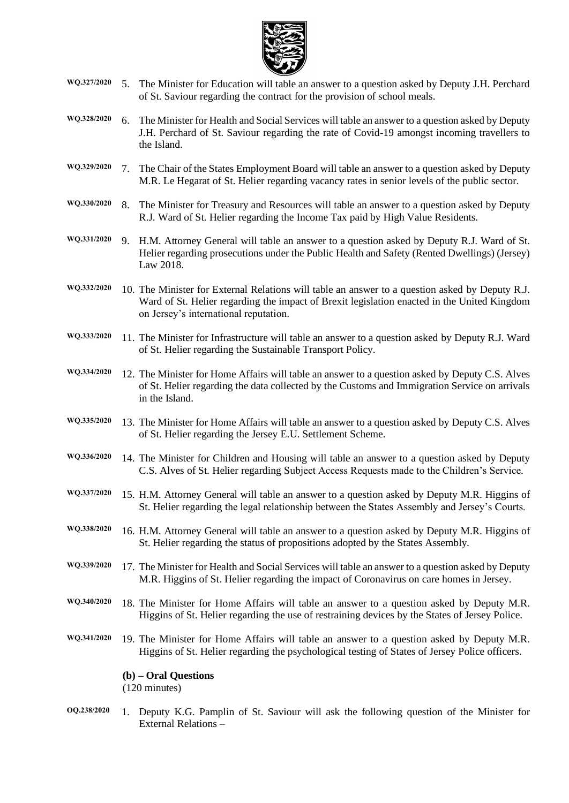

- **WQ.327/2020** 5. The Minister for Education will table an answer to a question asked by Deputy J.H. Perchard of St. Saviour regarding the contract for the provision of school meals.
- **WQ.328/2020** 6. The Minister for Health and Social Services will table an answer to a question asked by Deputy J.H. Perchard of St. Saviour regarding the rate of Covid-19 amongst incoming travellers to the Island.
- **WQ.329/2020** 7. The Chair of the States Employment Board will table an answer to a question asked by Deputy M.R. Le Hegarat of St. Helier regarding vacancy rates in senior levels of the public sector.
- **WQ.330/2020** 8. The Minister for Treasury and Resources will table an answer to a question asked by Deputy R.J. Ward of St. Helier regarding the Income Tax paid by High Value Residents.
- **WQ.331/2020** 9. H.M. Attorney General will table an answer to a question asked by Deputy R.J. Ward of St. Helier regarding prosecutions under the Public Health and Safety (Rented Dwellings) (Jersey) Law 2018.
- **WQ.332/2020** 10. The Minister for External Relations will table an answer to a question asked by Deputy R.J. Ward of St. Helier regarding the impact of Brexit legislation enacted in the United Kingdom on Jersey's international reputation.
- **WQ.333/2020** 11. The Minister for Infrastructure will table an answer to a question asked by Deputy R.J. Ward of St. Helier regarding the Sustainable Transport Policy.
- **WQ.334/2020** 12. The Minister for Home Affairs will table an answer to a question asked by Deputy C.S. Alves of St. Helier regarding the data collected by the Customs and Immigration Service on arrivals in the Island.
- **WQ.335/2020** 13. The Minister for Home Affairs will table an answer to a question asked by Deputy C.S. Alves of St. Helier regarding the Jersey E.U. Settlement Scheme.
- **WQ.336/2020** 14. The Minister for Children and Housing will table an answer to a question asked by Deputy C.S. Alves of St. Helier regarding Subject Access Requests made to the Children's Service.
- **WQ.337/2020** 15. H.M. Attorney General will table an answer to a question asked by Deputy M.R. Higgins of St. Helier regarding the legal relationship between the States Assembly and Jersey's Courts.
- **WQ.338/2020** 16. H.M. Attorney General will table an answer to a question asked by Deputy M.R. Higgins of St. Helier regarding the status of propositions adopted by the States Assembly.
- **WQ.339/2020** 17. The Minister for Health and Social Services will table an answer to a question asked by Deputy M.R. Higgins of St. Helier regarding the impact of Coronavirus on care homes in Jersey.
- **WQ.340/2020** 18. The Minister for Home Affairs will table an answer to a question asked by Deputy M.R. Higgins of St. Helier regarding the use of restraining devices by the States of Jersey Police.
- **WQ.341/2020** 19. The Minister for Home Affairs will table an answer to a question asked by Deputy M.R. Higgins of St. Helier regarding the psychological testing of States of Jersey Police officers.

#### **(b) – Oral Questions**

(120 minutes)

**OQ.238/2020** 1. Deputy K.G. Pamplin of St. Saviour will ask the following question of the Minister for External Relations –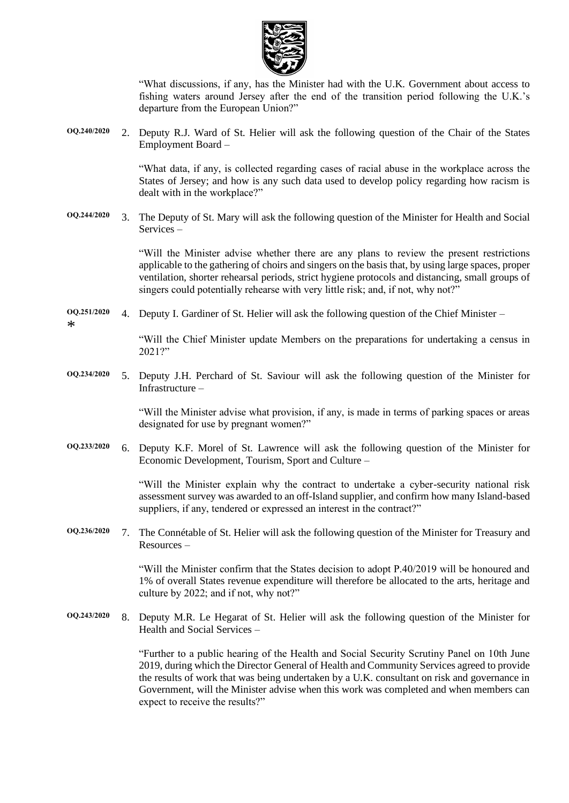

"What discussions, if any, has the Minister had with the U.K. Government about access to fishing waters around Jersey after the end of the transition period following the U.K.'s departure from the European Union?"

**OQ.240/2020** 2. Deputy R.J. Ward of St. Helier will ask the following question of the Chair of the States Employment Board –

> "What data, if any, is collected regarding cases of racial abuse in the workplace across the States of Jersey; and how is any such data used to develop policy regarding how racism is dealt with in the workplace?"

**OQ.244/2020** 3. The Deputy of St. Mary will ask the following question of the Minister for Health and Social Services –

> "Will the Minister advise whether there are any plans to review the present restrictions applicable to the gathering of choirs and singers on the basis that, by using large spaces, proper ventilation, shorter rehearsal periods, strict hygiene protocols and distancing, small groups of singers could potentially rehearse with very little risk; and, if not, why not?"

**OQ.251/2020** \* 4. Deputy I. Gardiner of St. Helier will ask the following question of the Chief Minister –

> "Will the Chief Minister update Members on the preparations for undertaking a census in 2021?"

**OQ.234/2020** 5. Deputy J.H. Perchard of St. Saviour will ask the following question of the Minister for Infrastructure –

> "Will the Minister advise what provision, if any, is made in terms of parking spaces or areas designated for use by pregnant women?"

**OQ.233/2020** 6. Deputy K.F. Morel of St. Lawrence will ask the following question of the Minister for Economic Development, Tourism, Sport and Culture –

> "Will the Minister explain why the contract to undertake a cyber-security national risk assessment survey was awarded to an off-Island supplier, and confirm how many Island-based suppliers, if any, tendered or expressed an interest in the contract?"

**OQ.236/2020** 7. The Connétable of St. Helier will ask the following question of the Minister for Treasury and Resources –

> "Will the Minister confirm that the States decision to adopt P.40/2019 will be honoured and 1% of overall States revenue expenditure will therefore be allocated to the arts, heritage and culture by 2022; and if not, why not?"

**OQ.243/2020** 8. Deputy M.R. Le Hegarat of St. Helier will ask the following question of the Minister for Health and Social Services –

> "Further to a public hearing of the Health and Social Security Scrutiny Panel on 10th June 2019, during which the Director General of Health and Community Services agreed to provide the results of work that was being undertaken by a U.K. consultant on risk and governance in Government, will the Minister advise when this work was completed and when members can expect to receive the results?"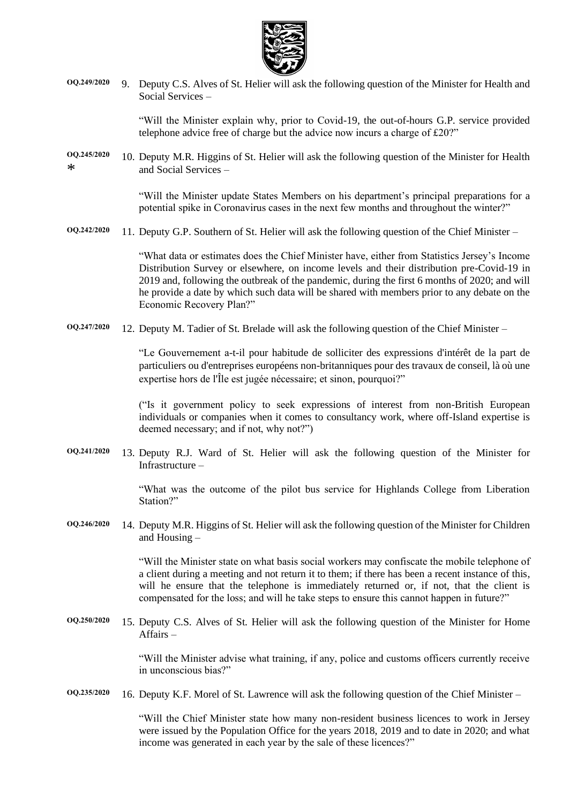

**OQ.249/2020** 9. Deputy C.S. Alves of St. Helier will ask the following question of the Minister for Health and Social Services –

> "Will the Minister explain why, prior to Covid-19, the out-of-hours G.P. service provided telephone advice free of charge but the advice now incurs a charge of £20?"

**OQ.245/2020**  $\ast$ 10. Deputy M.R. Higgins of St. Helier will ask the following question of the Minister for Health and Social Services –

> "Will the Minister update States Members on his department's principal preparations for a potential spike in Coronavirus cases in the next few months and throughout the winter?"

**OQ.242/2020** 11. Deputy G.P. Southern of St. Helier will ask the following question of the Chief Minister –

"What data or estimates does the Chief Minister have, either from Statistics Jersey's Income Distribution Survey or elsewhere, on income levels and their distribution pre-Covid-19 in 2019 and, following the outbreak of the pandemic, during the first 6 months of 2020; and will he provide a date by which such data will be shared with members prior to any debate on the Economic Recovery Plan?"

**OQ.247/2020** 12. Deputy M. Tadier of St. Brelade will ask the following question of the Chief Minister –

"Le Gouvernement a-t-il pour habitude de solliciter des expressions d'intérêt de la part de particuliers ou d'entreprises européens non-britanniques pour des travaux de conseil, là où une expertise hors de l'Île est jugée nécessaire; et sinon, pourquoi?"

("Is it government policy to seek expressions of interest from non-British European individuals or companies when it comes to consultancy work, where off-Island expertise is deemed necessary; and if not, why not?")

**OQ.241/2020** 13. Deputy R.J. Ward of St. Helier will ask the following question of the Minister for Infrastructure –

> "What was the outcome of the pilot bus service for Highlands College from Liberation Station?"

**OQ.246/2020** 14. Deputy M.R. Higgins of St. Helier will ask the following question of the Minister for Children and Housing –

> "Will the Minister state on what basis social workers may confiscate the mobile telephone of a client during a meeting and not return it to them; if there has been a recent instance of this, will he ensure that the telephone is immediately returned or, if not, that the client is compensated for the loss; and will he take steps to ensure this cannot happen in future?"

**OQ.250/2020** 15. Deputy C.S. Alves of St. Helier will ask the following question of the Minister for Home Affairs –

> "Will the Minister advise what training, if any, police and customs officers currently receive in unconscious bias?"

**OQ.235/2020** 16. Deputy K.F. Morel of St. Lawrence will ask the following question of the Chief Minister –

"Will the Chief Minister state how many non-resident business licences to work in Jersey were issued by the Population Office for the years 2018, 2019 and to date in 2020; and what income was generated in each year by the sale of these licences?"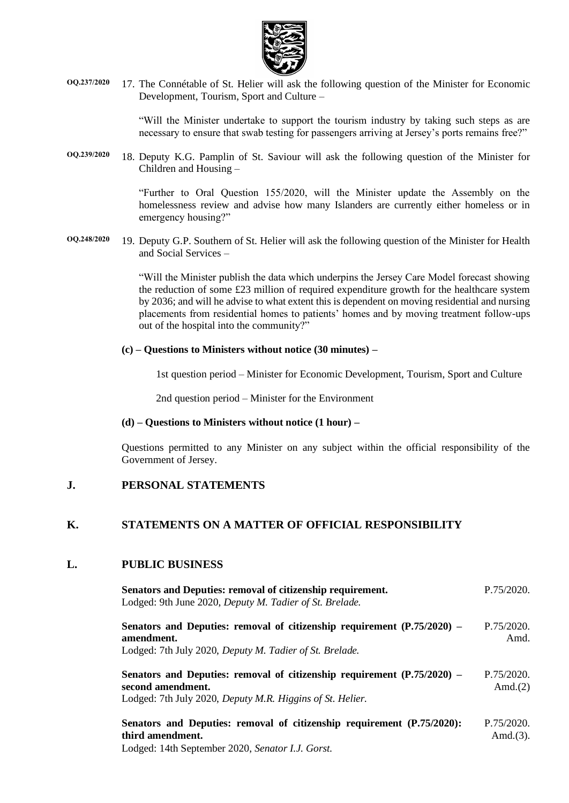

**OQ.237/2020** 17. The Connétable of St. Helier will ask the following question of the Minister for Economic Development, Tourism, Sport and Culture –

> "Will the Minister undertake to support the tourism industry by taking such steps as are necessary to ensure that swab testing for passengers arriving at Jersey's ports remains free?"

**OQ.239/2020** 18. Deputy K.G. Pamplin of St. Saviour will ask the following question of the Minister for Children and Housing –

> "Further to Oral Question 155/2020, will the Minister update the Assembly on the homelessness review and advise how many Islanders are currently either homeless or in emergency housing?"

**OQ.248/2020** 19. Deputy G.P. Southern of St. Helier will ask the following question of the Minister for Health and Social Services –

> "Will the Minister publish the data which underpins the Jersey Care Model forecast showing the reduction of some £23 million of required expenditure growth for the healthcare system by 2036; and will he advise to what extent this is dependent on moving residential and nursing placements from residential homes to patients' homes and by moving treatment follow-ups out of the hospital into the community?"

#### **(c) – Questions to Ministers without notice (30 minutes) –**

1st question period – Minister for Economic Development, Tourism, Sport and Culture

2nd question period – Minister for the Environment

#### **(d) – Questions to Ministers without notice (1 hour) –**

Questions permitted to any Minister on any subject within the official responsibility of the Government of Jersey.

#### **J. PERSONAL STATEMENTS**

### **K. STATEMENTS ON A MATTER OF OFFICIAL RESPONSIBILITY**

#### **L. PUBLIC BUSINESS**

| Senators and Deputies: removal of citizenship requirement.<br>Lodged: 9th June 2020, Deputy M. Tadier of St. Brelade.                                     | P.75/2020.                 |
|-----------------------------------------------------------------------------------------------------------------------------------------------------------|----------------------------|
| Senators and Deputies: removal of citizenship requirement (P.75/2020) –<br>amendment.<br>Lodged: 7th July 2020, Deputy M. Tadier of St. Brelade.          | P.75/2020<br>Amd.          |
| Senators and Deputies: removal of citizenship requirement (P.75/2020) –<br>second amendment.<br>Lodged: 7th July 2020, Deputy M.R. Higgins of St. Helier. | P.75/2020.<br>Amd. $(2)$   |
| Senators and Deputies: removal of citizenship requirement (P.75/2020):<br>third amendment.                                                                | P.75/2020.<br>Amd. $(3)$ . |

[Lodged: 14th September 2020,](https://statesassembly.gov.je/AssemblyPropositions/2020/P.752020.Amd(3).pdf) *Senator I.J. Gorst.*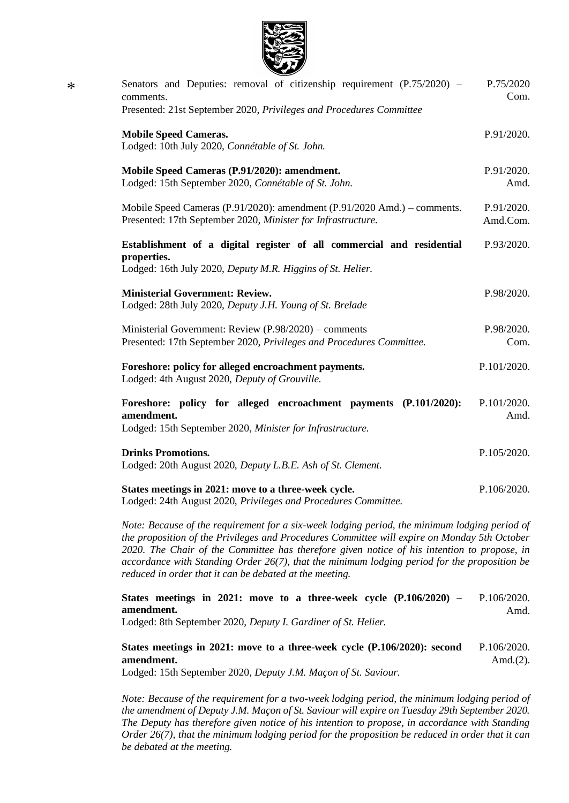

| Senators and Deputies: removal of citizenship requirement $(P.75/2020)$ –<br>comments.                                                             | P.75/2020<br>Com.      |
|----------------------------------------------------------------------------------------------------------------------------------------------------|------------------------|
| Presented: 21st September 2020, Privileges and Procedures Committee                                                                                |                        |
| <b>Mobile Speed Cameras.</b><br>Lodged: 10th July 2020, Connétable of St. John.                                                                    | P.91/2020.             |
| Mobile Speed Cameras (P.91/2020): amendment.<br>Lodged: 15th September 2020, Connétable of St. John.                                               | P.91/2020.<br>Amd.     |
| Mobile Speed Cameras (P.91/2020): amendment (P.91/2020 Amd.) – comments.<br>Presented: 17th September 2020, Minister for Infrastructure.           | P.91/2020.<br>Amd.Com. |
| Establishment of a digital register of all commercial and residential<br>properties.<br>Lodged: 16th July 2020, Deputy M.R. Higgins of St. Helier. | P.93/2020.             |
|                                                                                                                                                    |                        |
| <b>Ministerial Government: Review.</b><br>Lodged: 28th July 2020, Deputy J.H. Young of St. Brelade                                                 | P.98/2020.             |
| Ministerial Government: Review (P.98/2020) – comments<br>Presented: 17th September 2020, Privileges and Procedures Committee.                      | P.98/2020.<br>Com.     |
| Foreshore: policy for alleged encroachment payments.<br>Lodged: 4th August 2020, Deputy of Grouville.                                              | P.101/2020.            |
| Foreshore: policy for alleged encroachment payments (P.101/2020):<br>amendment.<br>Lodged: 15th September 2020, Minister for Infrastructure.       | P.101/2020.<br>Amd.    |
| <b>Drinks Promotions.</b><br>Lodged: 20th August 2020, Deputy L.B.E. Ash of St. Clement.                                                           | P.105/2020.            |
| States meetings in 2021: move to a three-week cycle.<br>Lodged: 24th August 2020, Privileges and Procedures Committee.                             | P.106/2020.            |
|                                                                                                                                                    |                        |

*Note: Because of the requirement for a six-week lodging period, the minimum lodging period of the proposition of the Privileges and Procedures Committee will expire on Monday 5th October 2020. The Chair of the Committee has therefore given notice of his intention to propose, in accordance with Standing Order 26(7), that the minimum lodging period for the proposition be reduced in order that it can be debated at the meeting.*

**[States meetings in 2021: move to a three-week cycle \(P.106/2020\) –](https://statesassembly.gov.je/AssemblyPropositions/2020/P.106-2020Amd.pdf) [amendment.](https://statesassembly.gov.je/AssemblyPropositions/2020/P.106-2020Amd.pdf)** [P.106/2020.](https://statesassembly.gov.je/AssemblyPropositions/2020/P.106-2020Amd.pdf) [Amd.](https://statesassembly.gov.je/AssemblyPropositions/2020/P.106-2020Amd.pdf)

Lodged: 8th September 2020, *[Deputy I. Gardiner of St. Helier.](https://statesassembly.gov.je/AssemblyPropositions/2020/P.106-2020Amd.pdf)*

**[States meetings in 2021: move to a three-week cycle \(P.106/2020\): second](https://statesassembly.gov.je/AssemblyPropositions/2020/P.106-2020Amd(2).pdf)  [amendment.](https://statesassembly.gov.je/AssemblyPropositions/2020/P.106-2020Amd(2).pdf)** [P.106/2020.](https://statesassembly.gov.je/AssemblyPropositions/2020/P.106-2020Amd(2).pdf) [Amd.\(2\).](https://statesassembly.gov.je/AssemblyPropositions/2020/P.106-2020Amd(2).pdf)

Lodged: 15th September 2020, *[Deputy J.M. Maçon of St. Saviour.](https://statesassembly.gov.je/AssemblyPropositions/2020/P.106-2020Amd(2).pdf)*

*Note: Because of the requirement for a two-week lodging period, the minimum lodging period of the amendment of Deputy J.M. Maçon of St. Saviour will expire on Tuesday 29th September 2020. The Deputy has therefore given notice of his intention to propose, in accordance with Standing Order 26(7), that the minimum lodging period for the proposition be reduced in order that it can be debated at the meeting.*

\*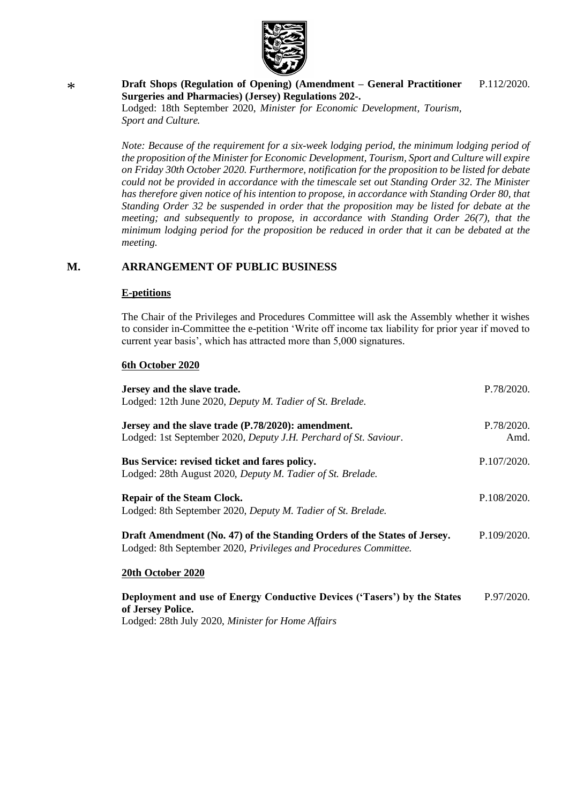

#### \* **Draft Shops (Regulation of Opening) (Amendment – General Practitioner Surgeries and Pharmacies) (Jersey) Regulations 202-.** Lodged: 18th September 2020, *Minister for Economic Development, Tourism,*  P.112/2020.

*Sport and Culture.*

*Note: Because of the requirement for a six-week lodging period, the minimum lodging period of the proposition of the Minister for Economic Development, Tourism, Sport and Culture will expire on Friday 30th October 2020. Furthermore, notification for the proposition to be listed for debate could not be provided in accordance with the timescale set out Standing Order 32. The Minister has therefore given notice of his intention to propose, in accordance with Standing Order 80, that Standing Order 32 be suspended in order that the proposition may be listed for debate at the meeting; and subsequently to propose, in accordance with Standing Order 26(7), that the minimum lodging period for the proposition be reduced in order that it can be debated at the meeting.*

### **M. ARRANGEMENT OF PUBLIC BUSINESS**

#### **E-petitions**

The Chair of the Privileges and Procedures Committee will ask the Assembly whether it wishes to consider in-Committee the e-petition 'Write off income tax liability for prior year if moved to current year basis', which has attracted more than 5,000 signatures.

#### **6th October 2020**

| Jersey and the slave trade.                                              | P.78/2020.  |
|--------------------------------------------------------------------------|-------------|
| Lodged: 12th June 2020, Deputy M. Tadier of St. Brelade.                 |             |
|                                                                          |             |
| Jersey and the slave trade (P.78/2020): amendment.                       | P.78/2020.  |
| Lodged: 1st September 2020, Deputy J.H. Perchard of St. Saviour.         | Amd.        |
| Bus Service: revised ticket and fares policy.                            | P.107/2020. |
| Lodged: 28th August 2020, Deputy M. Tadier of St. Brelade.               |             |
|                                                                          |             |
| <b>Repair of the Steam Clock.</b>                                        | P.108/2020. |
| Lodged: 8th September 2020, Deputy M. Tadier of St. Brelade.             |             |
| Draft Amendment (No. 47) of the Standing Orders of the States of Jersey. | P.109/2020. |
| Lodged: 8th September 2020, Privileges and Procedures Committee.         |             |
| 20th October 2020                                                        |             |
| Deployment and use of Energy Conductive Devices ('Tasers') by the States | P.97/2020.  |

**[of Jersey Police.](https://statesassembly.gov.je/AssemblyPropositions/2020/P.97-2020.pdf)**

Lodged: 28th July 2020, *[Minister for Home Affairs](https://statesassembly.gov.je/AssemblyPropositions/2020/P.97-2020.pdf)*